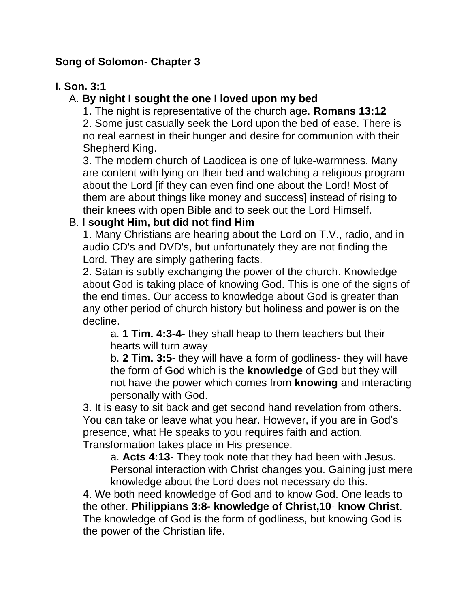# **Song of Solomon- Chapter 3**

# **I. Son. 3:1**

# A. **By night I sought the one I loved upon my bed**

1. The night is representative of the church age. **Romans 13:12**

2. Some just casually seek the Lord upon the bed of ease. There is no real earnest in their hunger and desire for communion with their Shepherd King.

3. The modern church of Laodicea is one of luke-warmness. Many are content with lying on their bed and watching a religious program about the Lord [if they can even find one about the Lord! Most of them are about things like money and success] instead of rising to their knees with open Bible and to seek out the Lord Himself.

# B. **I sought Him, but did not find Him**

1. Many Christians are hearing about the Lord on T.V., radio, and in audio CD's and DVD's, but unfortunately they are not finding the Lord. They are simply gathering facts.

2. Satan is subtly exchanging the power of the church. Knowledge about God is taking place of knowing God. This is one of the signs of the end times. Our access to knowledge about God is greater than any other period of church history but holiness and power is on the decline.

a. **1 Tim. 4:3-4-** they shall heap to them teachers but their hearts will turn away

b. **2 Tim. 3:5**- they will have a form of godliness- they will have the form of God which is the **knowledge** of God but they will not have the power which comes from **knowing** and interacting personally with God.

3. It is easy to sit back and get second hand revelation from others. You can take or leave what you hear. However, if you are in God's presence, what He speaks to you requires faith and action. Transformation takes place in His presence.

a. **Acts 4:13**- They took note that they had been with Jesus. Personal interaction with Christ changes you. Gaining just mere knowledge about the Lord does not necessary do this.

4. We both need knowledge of God and to know God. One leads to the other. **Philippians 3:8- knowledge of Christ,10**- **know Christ**. The knowledge of God is the form of godliness, but knowing God is the power of the Christian life.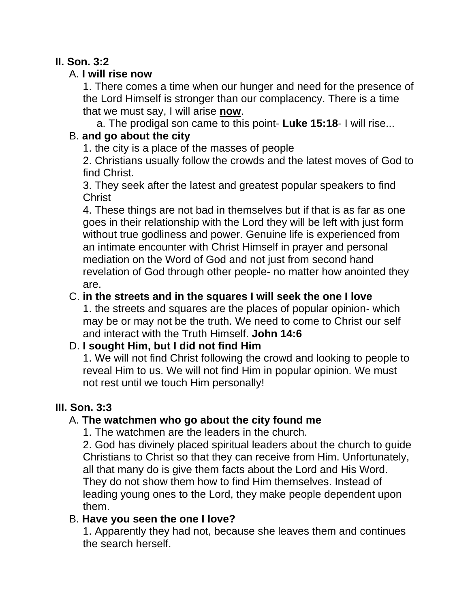# **II. Son. 3:2**

# A. **I will rise now**

1. There comes a time when our hunger and need for the presence of the Lord Himself is stronger than our complacency. There is a time that we must say, I will arise **now**.

a. The prodigal son came to this point- **Luke 15:18**- I will rise...

# B. **and go about the city**

1. the city is a place of the masses of people

2. Christians usually follow the crowds and the latest moves of God to find Christ.

3. They seek after the latest and greatest popular speakers to find Christ

4. These things are not bad in themselves but if that is as far as one goes in their relationship with the Lord they will be left with just form without true godliness and power. Genuine life is experienced from an intimate encounter with Christ Himself in prayer and personal mediation on the Word of God and not just from second hand revelation of God through other people- no matter how anointed they are.

# C. **in the streets and in the squares I will seek the one I love**

1. the streets and squares are the places of popular opinion- which may be or may not be the truth. We need to come to Christ our self and interact with the Truth Himself. **John 14:6**

# D. **I sought Him, but I did not find Him**

1. We will not find Christ following the crowd and looking to people to reveal Him to us. We will not find Him in popular opinion. We must not rest until we touch Him personally!

# **III. Son. 3:3**

# A. **The watchmen who go about the city found me**

1. The watchmen are the leaders in the church.

2. God has divinely placed spiritual leaders about the church to guide Christians to Christ so that they can receive from Him. Unfortunately, all that many do is give them facts about the Lord and His Word. They do not show them how to find Him themselves. Instead of leading young ones to the Lord, they make people dependent upon them.

# B. **Have you seen the one I love?**

1. Apparently they had not, because she leaves them and continues the search herself.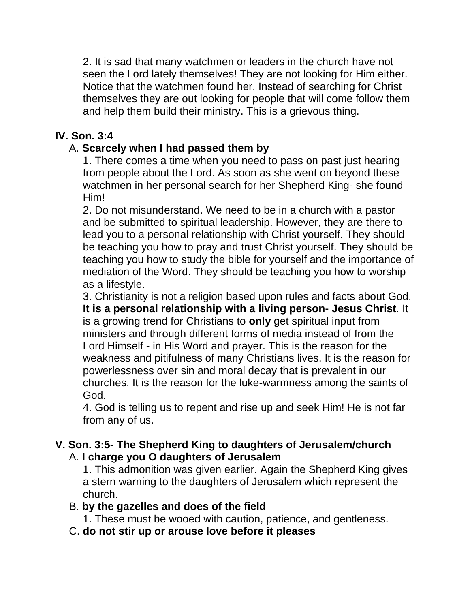2. It is sad that many watchmen or leaders in the church have not seen the Lord lately themselves! They are not looking for Him either. Notice that the watchmen found her. Instead of searching for Christ themselves they are out looking for people that will come follow them and help them build their ministry. This is a grievous thing.

### **IV. Son. 3:4**

# A. **Scarcely when I had passed them by**

1. There comes a time when you need to pass on past just hearing from people about the Lord. As soon as she went on beyond these watchmen in her personal search for her Shepherd King- she found Him!

2. Do not misunderstand. We need to be in a church with a pastor and be submitted to spiritual leadership. However, they are there to lead you to a personal relationship with Christ yourself. They should be teaching you how to pray and trust Christ yourself. They should be teaching you how to study the bible for yourself and the importance of mediation of the Word. They should be teaching you how to worship as a lifestyle.

3. Christianity is not a religion based upon rules and facts about God. **It is a personal relationship with a living person- Jesus Christ**. It is a growing trend for Christians to **only** get spiritual input from ministers and through different forms of media instead of from the Lord Himself - in His Word and prayer. This is the reason for the weakness and pitifulness of many Christians lives. It is the reason for powerlessness over sin and moral decay that is prevalent in our churches. It is the reason for the luke-warmness among the saints of God.

4. God is telling us to repent and rise up and seek Him! He is not far from any of us.

#### **V. Son. 3:5- The Shepherd King to daughters of Jerusalem/church** A. **I charge you O daughters of Jerusalem**

1. This admonition was given earlier. Again the Shepherd King gives a stern warning to the daughters of Jerusalem which represent the church.

#### B. **by the gazelles and does of the field**

- 1. These must be wooed with caution, patience, and gentleness.
- C. **do not stir up or arouse love before it pleases**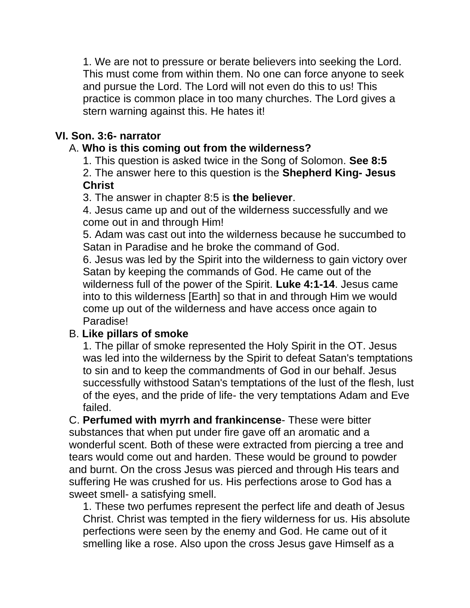1. We are not to pressure or berate believers into seeking the Lord. This must come from within them. No one can force anyone to seek and pursue the Lord. The Lord will not even do this to us! This practice is common place in too many churches. The Lord gives a stern warning against this. He hates it!

### **VI. Son. 3:6- narrator**

# A. **Who is this coming out from the wilderness?**

1. This question is asked twice in the Song of Solomon. **See 8:5**

2. The answer here to this question is the **Shepherd King- Jesus Christ**

3. The answer in chapter 8:5 is **the believer**.

4. Jesus came up and out of the wilderness successfully and we come out in and through Him!

5. Adam was cast out into the wilderness because he succumbed to Satan in Paradise and he broke the command of God.

6. Jesus was led by the Spirit into the wilderness to gain victory over Satan by keeping the commands of God. He came out of the wilderness full of the power of the Spirit. **Luke 4:1-14**. Jesus came into to this wilderness [Earth] so that in and through Him we would come up out of the wilderness and have access once again to Paradise!

# B. **Like pillars of smoke**

1. The pillar of smoke represented the Holy Spirit in the OT. Jesus was led into the wilderness by the Spirit to defeat Satan's temptations to sin and to keep the commandments of God in our behalf. Jesus successfully withstood Satan's temptations of the lust of the flesh, lust of the eyes, and the pride of life- the very temptations Adam and Eve failed.

C. **Perfumed with myrrh and frankincense**- These were bitter substances that when put under fire gave off an aromatic and a wonderful scent. Both of these were extracted from piercing a tree and tears would come out and harden. These would be ground to powder and burnt. On the cross Jesus was pierced and through His tears and suffering He was crushed for us. His perfections arose to God has a sweet smell- a satisfying smell.

1. These two perfumes represent the perfect life and death of Jesus Christ. Christ was tempted in the fiery wilderness for us. His absolute perfections were seen by the enemy and God. He came out of it smelling like a rose. Also upon the cross Jesus gave Himself as a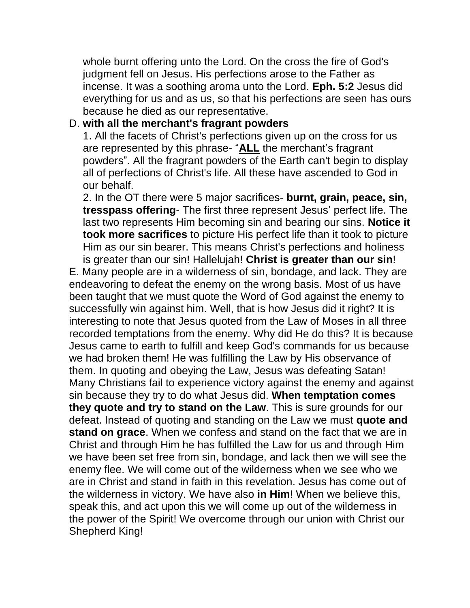whole burnt offering unto the Lord. On the cross the fire of God's judgment fell on Jesus. His perfections arose to the Father as incense. It was a soothing aroma unto the Lord. **Eph. 5:2** Jesus did everything for us and as us, so that his perfections are seen has ours because he died as our representative.

#### D. **with all the merchant's fragrant powders**

1. All the facets of Christ's perfections given up on the cross for us are represented by this phrase- "**ALL** the merchant's fragrant powders". All the fragrant powders of the Earth can't begin to display all of perfections of Christ's life. All these have ascended to God in our behalf.

2. In the OT there were 5 major sacrifices- **burnt, grain, peace, sin, tresspass offering**- The first three represent Jesus' perfect life. The last two represents Him becoming sin and bearing our sins. **Notice it took more sacrifices** to picture His perfect life than it took to picture Him as our sin bearer. This means Christ's perfections and holiness is greater than our sin! Hallelujah! **Christ is greater than our sin**!

E. Many people are in a wilderness of sin, bondage, and lack. They are endeavoring to defeat the enemy on the wrong basis. Most of us have been taught that we must quote the Word of God against the enemy to successfully win against him. Well, that is how Jesus did it right? It is interesting to note that Jesus quoted from the Law of Moses in all three recorded temptations from the enemy. Why did He do this? It is because Jesus came to earth to fulfill and keep God's commands for us because we had broken them! He was fulfilling the Law by His observance of them. In quoting and obeying the Law, Jesus was defeating Satan! Many Christians fail to experience victory against the enemy and against sin because they try to do what Jesus did. **When temptation comes they quote and try to stand on the Law**. This is sure grounds for our defeat. Instead of quoting and standing on the Law we must **quote and stand on grace**. When we confess and stand on the fact that we are in Christ and through Him he has fulfilled the Law for us and through Him we have been set free from sin, bondage, and lack then we will see the enemy flee. We will come out of the wilderness when we see who we are in Christ and stand in faith in this revelation. Jesus has come out of the wilderness in victory. We have also **in Him**! When we believe this, speak this, and act upon this we will come up out of the wilderness in the power of the Spirit! We overcome through our union with Christ our Shepherd King!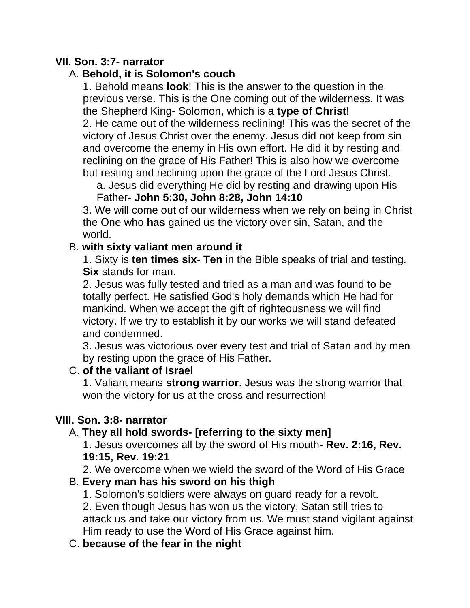### **VII. Son. 3:7- narrator**

### A. **Behold, it is Solomon's couch**

1. Behold means **look**! This is the answer to the question in the previous verse. This is the One coming out of the wilderness. It was the Shepherd King- Solomon, which is a **type of Christ**! 2. He came out of the wilderness reclining! This was the secret of the

victory of Jesus Christ over the enemy. Jesus did not keep from sin and overcome the enemy in His own effort. He did it by resting and reclining on the grace of His Father! This is also how we overcome but resting and reclining upon the grace of the Lord Jesus Christ.

a. Jesus did everything He did by resting and drawing upon His

#### Father- **John 5:30, John 8:28, John 14:10**

3. We will come out of our wilderness when we rely on being in Christ the One who **has** gained us the victory over sin, Satan, and the world.

### B. **with sixty valiant men around it**

1. Sixty is **ten times six**- **Ten** in the Bible speaks of trial and testing. **Six** stands for man.

2. Jesus was fully tested and tried as a man and was found to be totally perfect. He satisfied God's holy demands which He had for mankind. When we accept the gift of righteousness we will find victory. If we try to establish it by our works we will stand defeated and condemned.

3. Jesus was victorious over every test and trial of Satan and by men by resting upon the grace of His Father.

# C. **of the valiant of Israel**

1. Valiant means **strong warrior**. Jesus was the strong warrior that won the victory for us at the cross and resurrection!

#### **VIII. Son. 3:8- narrator**

# A. **They all hold swords- [referring to the sixty men]**

1. Jesus overcomes all by the sword of His mouth- **Rev. 2:16, Rev. 19:15, Rev. 19:21**

2. We overcome when we wield the sword of the Word of His Grace

#### B. **Every man has his sword on his thigh**

1. Solomon's soldiers were always on guard ready for a revolt.

2. Even though Jesus has won us the victory, Satan still tries to attack us and take our victory from us. We must stand vigilant against Him ready to use the Word of His Grace against him.

#### C. **because of the fear in the night**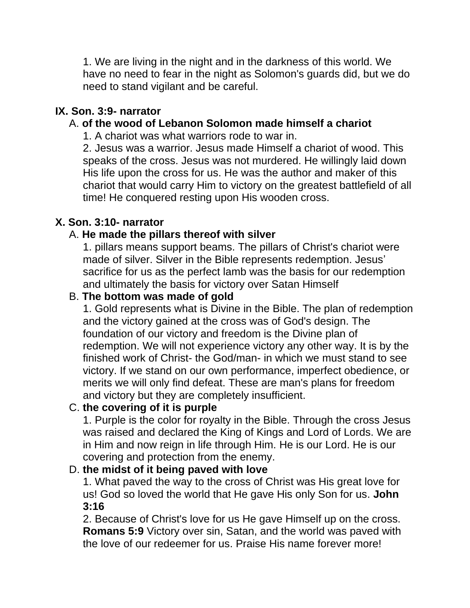1. We are living in the night and in the darkness of this world. We have no need to fear in the night as Solomon's guards did, but we do need to stand vigilant and be careful.

### **IX. Son. 3:9- narrator**

# A. **of the wood of Lebanon Solomon made himself a chariot**

1. A chariot was what warriors rode to war in.

2. Jesus was a warrior. Jesus made Himself a chariot of wood. This speaks of the cross. Jesus was not murdered. He willingly laid down His life upon the cross for us. He was the author and maker of this chariot that would carry Him to victory on the greatest battlefield of all time! He conquered resting upon His wooden cross.

### **X. Son. 3:10- narrator**

### A. **He made the pillars thereof with silver**

1. pillars means support beams. The pillars of Christ's chariot were made of silver. Silver in the Bible represents redemption. Jesus' sacrifice for us as the perfect lamb was the basis for our redemption and ultimately the basis for victory over Satan Himself

### B. **The bottom was made of gold**

1. Gold represents what is Divine in the Bible. The plan of redemption and the victory gained at the cross was of God's design. The foundation of our victory and freedom is the Divine plan of redemption. We will not experience victory any other way. It is by the finished work of Christ- the God/man- in which we must stand to see victory. If we stand on our own performance, imperfect obedience, or merits we will only find defeat. These are man's plans for freedom and victory but they are completely insufficient.

# C. **the covering of it is purple**

1. Purple is the color for royalty in the Bible. Through the cross Jesus was raised and declared the King of Kings and Lord of Lords. We are in Him and now reign in life through Him. He is our Lord. He is our covering and protection from the enemy.

#### D. **the midst of it being paved with love**

1. What paved the way to the cross of Christ was His great love for us! God so loved the world that He gave His only Son for us. **John 3:16**

2. Because of Christ's love for us He gave Himself up on the cross. **Romans 5:9** Victory over sin, Satan, and the world was paved with the love of our redeemer for us. Praise His name forever more!